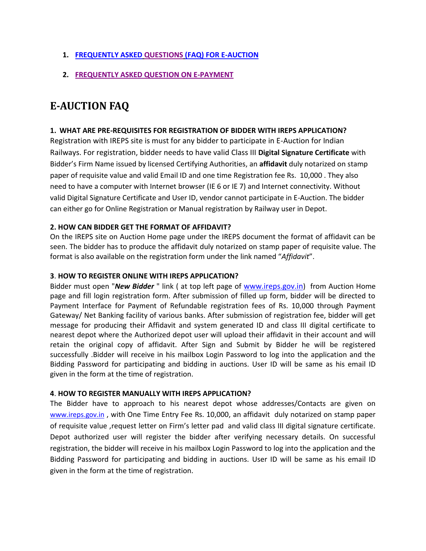## **1. [FREQUENTLY ASKED](#page-0-0) [QUESTIONS](#page-0-0) [\(FAQ\) FOR E-AUCTION](#page-0-0)**

**2. [FREQUENTLY ASKED QUESTION ON E-PAYMENT](#page-7-0)**

## <span id="page-0-0"></span>**E-AUCTION FAQ**

#### **1. WHAT ARE PRE-REQUISITES FOR REGISTRATION OF BIDDER WITH IREPS APPLICATION?**

Registration with IREPS site is must for any bidder to participate in E-Auction for Indian Railways. For registration, bidder needs to have valid Class III **Digital Signature Certificate** with Bidder's Firm Name issued by licensed Certifying Authorities, an **affidavit** duly notarized on stamp paper of requisite value and valid Email ID and one time Registration fee Rs. 10,000 . They also need to have a computer with Internet browser (IE 6 or IE 7) and Internet connectivity. Without valid Digital Signature Certificate and User ID, vendor cannot participate in E-Auction. The bidder can either go for Online Registration or Manual registration by Railway user in Depot.

#### **2. HOW CAN BIDDER GET THE FORMAT OF AFFIDAVIT?**

On the IREPS site on Auction Home page under the IREPS document the format of affidavit can be seen. The bidder has to produce the affidavit duly notarized on stamp paper of requisite value. The format is also available on the registration form under the link named "*Affidavit*".

#### **3**. **HOW TO REGISTER ONLINE WITH IREPS APPLICATION?**

Bidder must open "*New Bidder* " link ( at top left page of [www.ireps.gov.in](http://www.ireps.gov.in/)) from Auction Home page and fill login registration form. After submission of filled up form, bidder will be directed to Payment Interface for Payment of Refundable registration fees of Rs. 10,000 through Payment Gateway/ Net Banking facility of various banks. After submission of registration fee, bidder will get message for producing their Affidavit and system generated ID and class III digital certificate to nearest depot where the Authorized depot user will upload their affidavit in their account and will retain the original copy of affidavit. After Sign and Submit by Bidder he will be registered successfully .Bidder will receive in his mailbox Login Password to log into the application and the Bidding Password for participating and bidding in auctions. User ID will be same as his email ID given in the form at the time of registration.

#### **4**. **HOW TO REGISTER MANUALLY WITH IREPS APPLICATION?**

The Bidder have to approach to his nearest depot whose addresses/Contacts are given on [www.ireps.gov.in](http://www.ireps.gov.in/) , with One Time Entry Fee Rs. 10,000, an affidavit duly notarized on stamp paper of requisite value ,request letter on Firm's letter pad and valid class III digital signature certificate. Depot authorized user will register the bidder after verifying necessary details. On successful registration, the bidder will receive in his mailbox Login Password to log into the application and the Bidding Password for participating and bidding in auctions. User ID will be same as his email ID given in the form at the time of registration.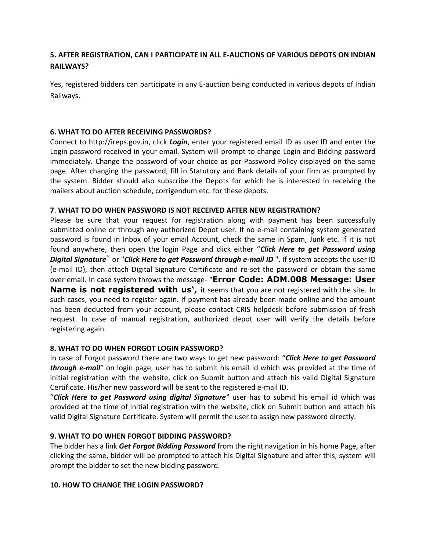## **5. AFTER REGISTRATION, CAN I PARTICIPATE IN ALL E-AUCTIONS OF VARIOUS DEPOTS ON INDIAN RAILWAYS?**

Yes, registered bidders can participate in any E-auction being conducted in various depots of Indian Railways.

## **6. WHAT TO DO AFTER RECEIVING PASSWORDS?**

Connect to http://ireps.gov.in, click *Login*, enter your registered email ID as user ID and enter the Login password received in your email. System will prompt to change Login and Bidding password immediately. Change the password of your choice as per Password Policy displayed on the same page. After changing the password, fill in Statutory and Bank details of your firm as prompted by the system. Bidder should also subscribe the Depots for which he is interested in receiving the mailers about auction schedule, corrigendum etc. for these depots.

### **7**. **WHAT TO DO WHEN PASSWORD IS NOT RECEIVED AFTER NEW REGISTRATION?**

Please be sure that your request for registration along with payment has been successfully submitted online or through any authorized Depot user. If no e-mail containing system generated password is found in Inbox of your email Account, check the same in Spam, Junk etc. If it is not found anywhere, then open the login Page and click either "*Click Here to get Password using Digital Signature*" or "*Click Here to get Password through e-mail ID* ". If system accepts the user ID (e-mail ID), then attach Digital Signature Certificate and re-set the password or obtain the same over email. In case system throws the message- "**Error Code: ADM.008 Message: User Name is not registered with us',** it seems that you are not registered with the site. In such cases, you need to register again. If payment has already been made online and the amount has been deducted from your account, please contact CRIS helpdesk before submission of fresh request. In case of manual registration, authorized depot user will verify the details before registering again.

### **8. WHAT TO DO WHEN FORGOT LOGIN PASSWORD?**

In case of Forgot password there are two ways to get new password: "*Click Here to get Password through e-mail*" on login page, user has to submit his email id which was provided at the time of initial registration with the website, click on Submit button and attach his valid Digital Signature Certificate. His/her new password will be sent to the registered e-mail ID.

"*Click Here to get Password using digital Signature*" user has to submit his email id which was provided at the time of initial registration with the website, click on Submit button and attach his valid Digital Signature Certificate. System will permit the user to assign new password directly.

### **9. WHAT TO DO WHEN FORGOT BIDDING PASSWORD?**

The bidder has a link *Get Forgot Bidding Password* from the right navigation in his home Page, after clicking the same, bidder will be prompted to attach his Digital Signature and after this, system will prompt the bidder to set the new bidding password.

### **10. HOW TO CHANGE THE LOGIN PASSWORD?**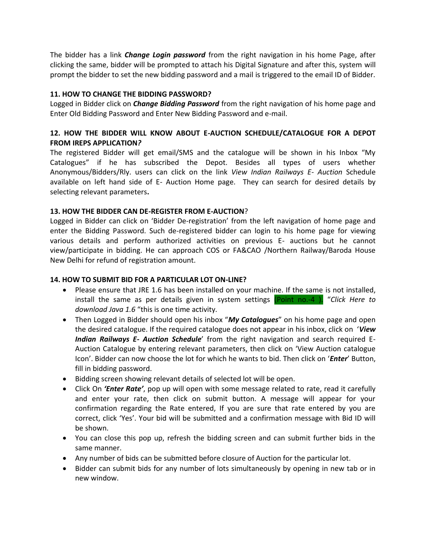The bidder has a link *Change Login password* from the right navigation in his home Page, after clicking the same, bidder will be prompted to attach his Digital Signature and after this, system will prompt the bidder to set the new bidding password and a mail is triggered to the email ID of Bidder.

## **11. HOW TO CHANGE THE BIDDING PASSWORD?**

Logged in Bidder click on *Change Bidding Password* from the right navigation of his home page and Enter Old Bidding Password and Enter New Bidding Password and e-mail.

## **12. HOW THE BIDDER WILL KNOW ABOUT E-AUCTION SCHEDULE/CATALOGUE FOR A DEPOT FROM IREPS APPLICATION***?*

The registered Bidder will get email/SMS and the catalogue will be shown in his Inbox "My Catalogues" if he has subscribed the Depot. Besides all types of users whether Anonymous/Bidders/Rly. users can click on the link *View Indian Railways E- Auction* Schedule available on left hand side of E- Auction Home page.They can search for desired details by selecting relevant parameters**.**

### **13. HOW THE BIDDER CAN DE-REGISTER FROM E-AUCTION**?

Logged in Bidder can click on 'Bidder De-registration' from the left navigation of home page and enter the Bidding Password. Such de-registered bidder can login to his home page for viewing various details and perform authorized activities on previous E- auctions but he cannot view/participate in bidding. He can approach COS or FA&CAO /Northern Railway/Baroda House New Delhi for refund of registration amount.

### **14. HOW TO SUBMIT BID FOR A PARTICULAR LOT ON-LINE?**

- Please ensure that JRE 1.6 has been installed on your machine. If the same is not installed, install the same as per details given in system settings (Point no.-4 ). "*Click Here to download Java 1.6* "this is one time activity.
- Then Logged in Bidder should open his inbox "*My Catalogues*" on his home page and open the desired catalogue. If the required catalogue does not appear in his inbox, click on '*View Indian Railways E- Auction Schedule*' from the right navigation and search required E-Auction Catalogue by entering relevant parameters, then click on 'View Auction catalogue Icon'. Bidder can now choose the lot for which he wants to bid. Then click on '*Enter*' Button, fill in bidding password.
- Bidding screen showing relevant details of selected lot will be open.
- Click On *'Enter Rate'*, pop up will open with some message related to rate, read it carefully and enter your rate, then click on submit button. A message will appear for your confirmation regarding the Rate entered, If you are sure that rate entered by you are correct, click 'Yes'. Your bid will be submitted and a confirmation message with Bid ID will be shown.
- You can close this pop up, refresh the bidding screen and can submit further bids in the same manner.
- Any number of bids can be submitted before closure of Auction for the particular lot.
- Bidder can submit bids for any number of lots simultaneously by opening in new tab or in new window.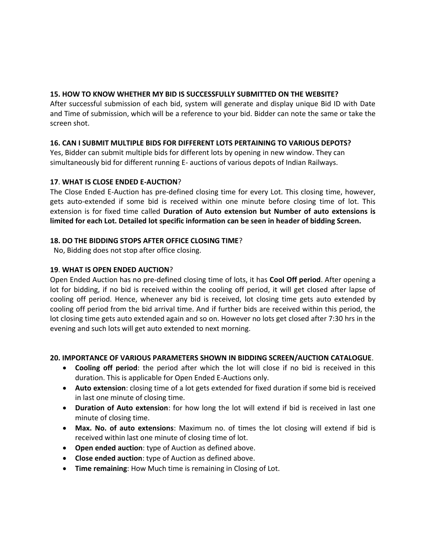## **15. HOW TO KNOW WHETHER MY BID IS SUCCESSFULLY SUBMITTED ON THE WEBSITE?**

After successful submission of each bid, system will generate and display unique Bid ID with Date and Time of submission, which will be a reference to your bid. Bidder can note the same or take the screen shot.

## **16. CAN I SUBMIT MULTIPLE BIDS FOR DIFFERENT LOTS PERTAINING TO VARIOUS DEPOTS?**

Yes, Bidder can submit multiple bids for different lots by opening in new window. They can simultaneously bid for different running E- auctions of various depots of Indian Railways.

## **17**. **WHAT IS CLOSE ENDED E-AUCTION**?

The Close Ended E-Auction has pre-defined closing time for every Lot. This closing time, however, gets auto-extended if some bid is received within one minute before closing time of lot. This extension is for fixed time called **Duration of Auto extension but Number of auto extensions is limited for each Lot. Detailed lot specific information can be seen in header of bidding Screen.**

### **18. DO THE BIDDING STOPS AFTER OFFICE CLOSING TIME**?

No, Bidding does not stop after office closing.

## **19**. **WHAT IS OPEN ENDED AUCTION**?

Open Ended Auction has no pre-defined closing time of lots, it has **Cool Off period**. After opening a lot for bidding, if no bid is received within the cooling off period, it will get closed after lapse of cooling off period. Hence, whenever any bid is received, lot closing time gets auto extended by cooling off period from the bid arrival time. And if further bids are received within this period, the lot closing time gets auto extended again and so on. However no lots get closed after 7:30 hrs in the evening and such lots will get auto extended to next morning.

### **20. IMPORTANCE OF VARIOUS PARAMETERS SHOWN IN BIDDING SCREEN/AUCTION CATALOGUE**.

- **Cooling off period**: the period after which the lot will close if no bid is received in this duration. This is applicable for Open Ended E-Auctions only.
- **Auto extension**: closing time of a lot gets extended for fixed duration if some bid is received in last one minute of closing time.
- **Duration of Auto extension**: for how long the lot will extend if bid is received in last one minute of closing time.
- **Max. No. of auto extensions**: Maximum no. of times the lot closing will extend if bid is received within last one minute of closing time of lot.
- **Open ended auction**: type of Auction as defined above.
- **Close ended auction**: type of Auction as defined above.
- **Time remaining**: How Much time is remaining in Closing of Lot.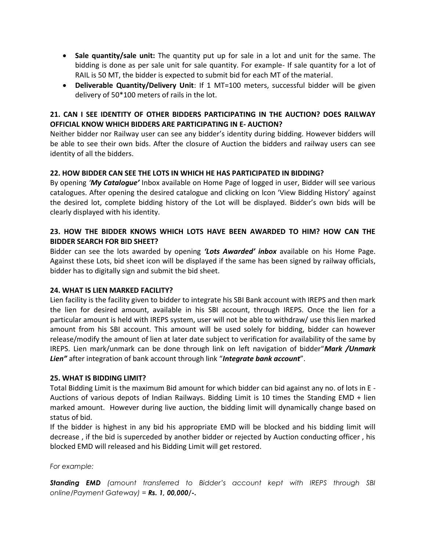- **Sale quantity/sale unit:** The quantity put up for sale in a lot and unit for the same. The bidding is done as per sale unit for sale quantity. For example- If sale quantity for a lot of RAIL is 50 MT, the bidder is expected to submit bid for each MT of the material.
- **Deliverable Quantity/Delivery Unit**: If 1 MT=100 meters, successful bidder will be given delivery of 50\*100 meters of rails in the lot.

## **21. CAN I SEE IDENTITY OF OTHER BIDDERS PARTICIPATING IN THE AUCTION? DOES RAILWAY OFFICIAL KNOW WHICH BIDDERS ARE PARTICIPATING IN E- AUCTION?**

Neither bidder nor Railway user can see any bidder's identity during bidding. However bidders will be able to see their own bids. After the closure of Auction the bidders and railway users can see identity of all the bidders.

## **22. HOW BIDDER CAN SEE THE LOTS IN WHICH HE HAS PARTICIPATED IN BIDDING?**

By opening *'My Catalogue'* Inbox available on Home Page of logged in user, Bidder will see various catalogues. After opening the desired catalogue and clicking on lcon 'View Bidding History' against the desired lot, complete bidding history of the Lot will be displayed. Bidder's own bids will be clearly displayed with his identity.

## **23. HOW THE BIDDER KNOWS WHICH LOTS HAVE BEEN AWARDED TO HIM? HOW CAN THE BIDDER SEARCH FOR BID SHEET?**

Bidder can see the lots awarded by opening *'Lots Awarded' inbox* available on his Home Page. Against these Lots, bid sheet icon will be displayed if the same has been signed by railway officials, bidder has to digitally sign and submit the bid sheet.

### **24. WHAT IS LIEN MARKED FACILITY?**

Lien facility is the facility given to bidder to integrate his SBI Bank account with IREPS and then mark the lien for desired amount, available in his SBI account, through IREPS. Once the lien for a particular amount is held with IREPS system, user will not be able to withdraw/ use this lien marked amount from his SBI account. This amount will be used solely for bidding, bidder can however release/modify the amount of lien at later date subject to verification for availability of the same by IREPS. Lien mark/unmark can be done through link on left navigation of bidder"*Mark /Unmark Lien"* after integration of bank account through link "*Integrate bank account*".

### **25. WHAT IS BIDDING LIMIT?**

Total Bidding Limit is the maximum Bid amount for which bidder can bid against any no. of lots in E - Auctions of various depots of Indian Railways. Bidding Limit is 10 times the Standing EMD + lien marked amount. However during live auction, the bidding limit will dynamically change based on status of bid.

If the bidder is highest in any bid his appropriate EMD will be blocked and his bidding limit will decrease , if the bid is superceded by another bidder or rejected by Auction conducting officer , his blocked EMD will released and his Bidding Limit will get restored.

#### *For example:*

*Standing EMD (amount transferred to Bidder's account kept with IREPS through SBI online/Payment Gateway) = Rs. 1, 00,000/-.*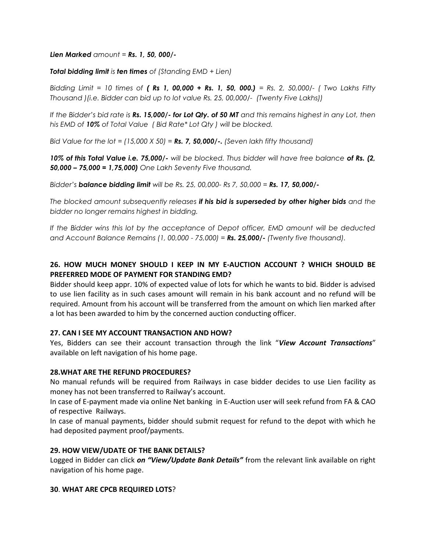#### *Lien Marked amount = Rs. 1, 50, 000/-*

#### *Total bidding limit is ten times of (Standing EMD + Lien)*

*Bidding Limit = 10 times of ( Rs 1, 00,000 + Rs. 1, 50, 000.) = Rs. 2, 50,000/- ( Two Lakhs Fifty Thousand )(i.e. Bidder can bid up to lot value Rs. 25, 00,000/- (Twenty Five Lakhs))*

*If the Bidder's bid rate is Rs. 15,000/- for Lot Qty. of 50 MT and this remains highest in any Lot, then his EMD of 10% of Total Value ( Bid Rate\* Lot Qty ) will be blocked.*

*Bid Value for the lot = (15,000 X 50) = Rs. 7, 50,000/-. (Seven lakh fifty thousand)* 

*10% of this Total Value i.e. 75,000/- will be blocked. Thus bidder will have free balance of Rs. (2, 50,000 – 75,000 = 1,75,000) One Lakh Seventy Five thousand.*

*Bidder's balance bidding limit will be Rs. 25, 00,000- Rs 7, 50,000 = Rs. 17, 50,000/-*

*The blocked amount subsequently releases if his bid is superseded by other higher bids and the bidder no longer remains highest in bidding.*

*If the Bidder wins this lot by the acceptance of Depot officer, EMD amount will be deducted and Account Balance Remains (1, 00,000 - 75,000) = Rs. 25,000/- (Twenty five thousand).*

## **26. HOW MUCH MONEY SHOULD I KEEP IN MY E-AUCTION ACCOUNT ? WHICH SHOULD BE PREFERRED MODE OF PAYMENT FOR STANDING EMD?**

Bidder should keep appr. 10% of expected value of lots for which he wants to bid. Bidder is advised to use lien facility as in such cases amount will remain in his bank account and no refund will be required. Amount from his account will be transferred from the amount on which lien marked after a lot has been awarded to him by the concerned auction conducting officer.

#### **27. CAN I SEE MY ACCOUNT TRANSACTION AND HOW?**

Yes, Bidders can see their account transaction through the link "*View Account Transactions*" available on left navigation of his home page.

#### **28.WHAT ARE THE REFUND PROCEDURES?**

No manual refunds will be required from Railways in case bidder decides to use Lien facility as money has not been transferred to Railway's account.

In case of E-payment made via online Net banking in E-Auction user will seek refund from FA & CAO of respective Railways.

In case of manual payments, bidder should submit request for refund to the depot with which he had deposited payment proof/payments.

#### **29. HOW VIEW/UDATE OF THE BANK DETAILS?**

Logged in Bidder can click *on "View/Update Bank Details"* from the relevant link available on right navigation of his home page.

#### **30**. **WHAT ARE CPCB REQUIRED LOTS**?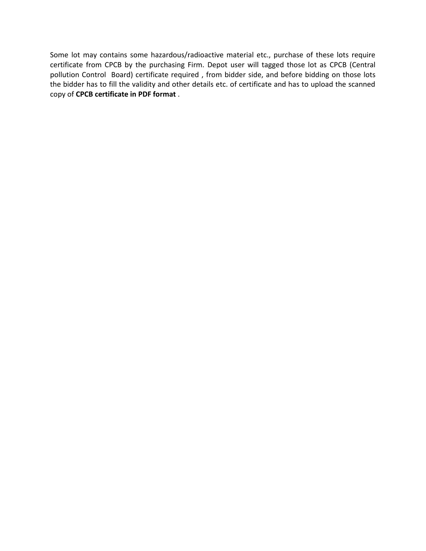Some lot may contains some hazardous/radioactive material etc., purchase of these lots require certificate from CPCB by the purchasing Firm. Depot user will tagged those lot as CPCB (Central pollution Control Board) certificate required , from bidder side, and before bidding on those lots the bidder has to fill the validity and other details etc. of certificate and has to upload the scanned copy of **CPCB certificate in PDF format** .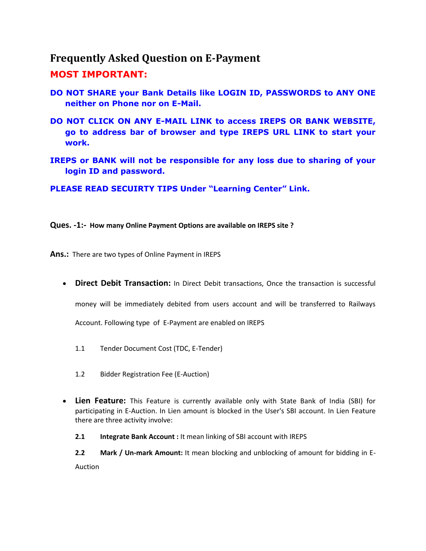## <span id="page-7-0"></span>**Frequently Asked Question on E-Payment**

## **MOST IMPORTANT:**

- **DO NOT SHARE your Bank Details like LOGIN ID, PASSWORDS to ANY ONE neither on Phone nor on E-Mail.**
- **DO NOT CLICK ON ANY E-MAIL LINK to access IREPS OR BANK WEBSITE, go to address bar of browser and type IREPS URL LINK to start your work.**
- **IREPS or BANK will not be responsible for any loss due to sharing of your login ID and password.**

**PLEASE READ SECUIRTY TIPS Under "Learning Center" Link.**

**Ques. -1:- How many Online Payment Options are available on IREPS site ?**

**Ans.:** There are two types of Online Payment in IREPS

**• Direct Debit Transaction:** In Direct Debit transactions, Once the transaction is successful

money will be immediately debited from users account and will be transferred to Railways

Account. Following type of E-Payment are enabled on IREPS

- 1.1 Tender Document Cost (TDC, E-Tender)
- 1.2 Bidder Registration Fee (E-Auction)
- **Lien Feature:** This Feature is currently available only with State Bank of India (SBI) for participating in E-Auction. In Lien amount is blocked in the User's SBI account. In Lien Feature there are three activity involve:
	- **2.1 Integrate Bank Account :** It mean linking of SBI account with IREPS

**2.2 Mark / Un-mark Amount:** It mean blocking and unblocking of amount for bidding in E-Auction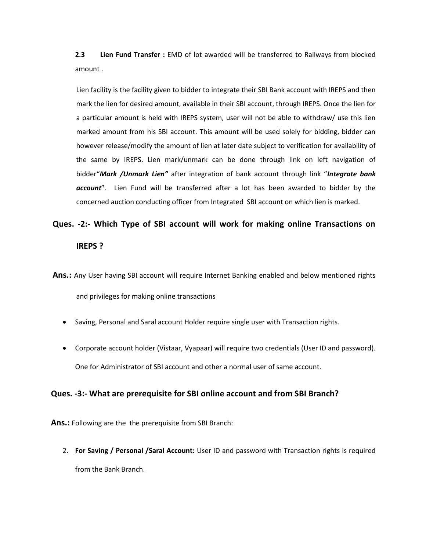**2.3 Lien Fund Transfer :** EMD of lot awarded will be transferred to Railways from blocked amount .

Lien facility is the facility given to bidder to integrate their SBI Bank account with IREPS and then mark the lien for desired amount, available in their SBI account, through IREPS. Once the lien for a particular amount is held with IREPS system, user will not be able to withdraw/ use this lien marked amount from his SBI account. This amount will be used solely for bidding, bidder can however release/modify the amount of lien at later date subject to verification for availability of the same by IREPS. Lien mark/unmark can be done through link on left navigation of bidder"*Mark /Unmark Lien"* after integration of bank account through link "*Integrate bank account*". Lien Fund will be transferred after a lot has been awarded to bidder by the concerned auction conducting officer from Integrated SBI account on which lien is marked.

# **Ques. -2:- Which Type of SBI account will work for making online Transactions on IREPS ?**

**Ans.:** Any User having SBI account will require Internet Banking enabled and below mentioned rights and privileges for making online transactions

- Saving, Personal and Saral account Holder require single user with Transaction rights.
- Corporate account holder (Vistaar, Vyapaar) will require two credentials (User ID and password). One for Administrator of SBI account and other a normal user of same account.

### **Ques. -3:- What are prerequisite for SBI online account and from SBI Branch?**

**Ans.:** Following are the the prerequisite from SBI Branch:

2. **For Saving / Personal /Saral Account:** User ID and password with Transaction rights is required from the Bank Branch.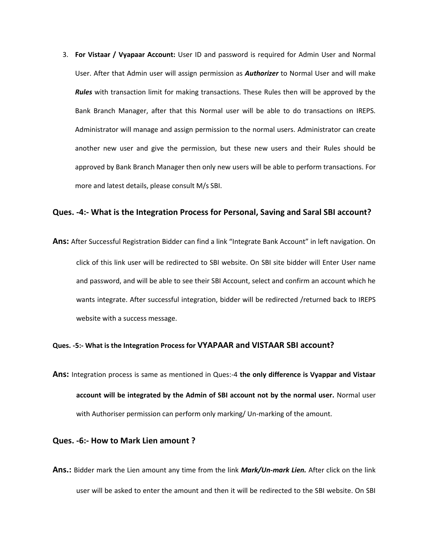3. **For Vistaar / Vyapaar Account:** User ID and password is required for Admin User and Normal User. After that Admin user will assign permission as *Authorizer* to Normal User and will make *Rules* with transaction limit for making transactions. These Rules then will be approved by the Bank Branch Manager, after that this Normal user will be able to do transactions on IREPS. Administrator will manage and assign permission to the normal users. Administrator can create another new user and give the permission, but these new users and their Rules should be approved by Bank Branch Manager then only new users will be able to perform transactions. For more and latest details, please consult M/s SBI.

#### **Ques. -4:- What is the Integration Process for Personal, Saving and Saral SBI account?**

**Ans:** After Successful Registration Bidder can find a link "Integrate Bank Account" in left navigation. On click of this link user will be redirected to SBI website. On SBI site bidder will Enter User name and password, and will be able to see their SBI Account, select and confirm an account which he wants integrate. After successful integration, bidder will be redirected /returned back to IREPS website with a success message.

#### **Ques. -5:- What is the Integration Process for VYAPAAR and VISTAAR SBI account?**

**Ans:** Integration process is same as mentioned in Ques:-4 **the only difference is Vyappar and Vistaar account will be integrated by the Admin of SBI account not by the normal user.** Normal user with Authoriser permission can perform only marking/ Un-marking of the amount.

#### **Ques. -6:- How to Mark Lien amount ?**

**Ans.:** Bidder mark the Lien amount any time from the link *Mark/Un-mark Lien.* After click on the link user will be asked to enter the amount and then it will be redirected to the SBI website. On SBI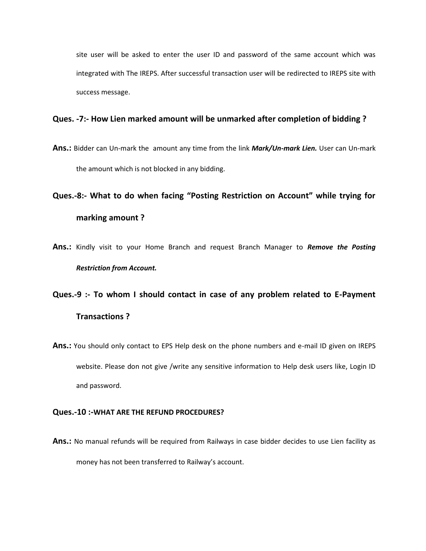site user will be asked to enter the user ID and password of the same account which was integrated with The IREPS. After successful transaction user will be redirected to IREPS site with success message.

#### **Ques. -7:- How Lien marked amount will be unmarked after completion of bidding ?**

- **Ans.:** Bidder can Un-mark the amount any time from the link *Mark/Un-mark Lien.* User can Un-mark the amount which is not blocked in any bidding.
- **Ques.-8:- What to do when facing "Posting Restriction on Account" while trying for marking amount ?**
- **Ans.:** Kindly visit to your Home Branch and request Branch Manager to *Remove the Posting Restriction from Account.*

# **Ques.-9 :- To whom I should contact in case of any problem related to E-Payment Transactions ?**

**Ans.:** You should only contact to EPS Help desk on the phone numbers and e-mail ID given on IREPS website. Please don not give /write any sensitive information to Help desk users like, Login ID and password.

#### **Ques.-10 :-WHAT ARE THE REFUND PROCEDURES?**

**Ans.:** No manual refunds will be required from Railways in case bidder decides to use Lien facility as money has not been transferred to Railway's account.